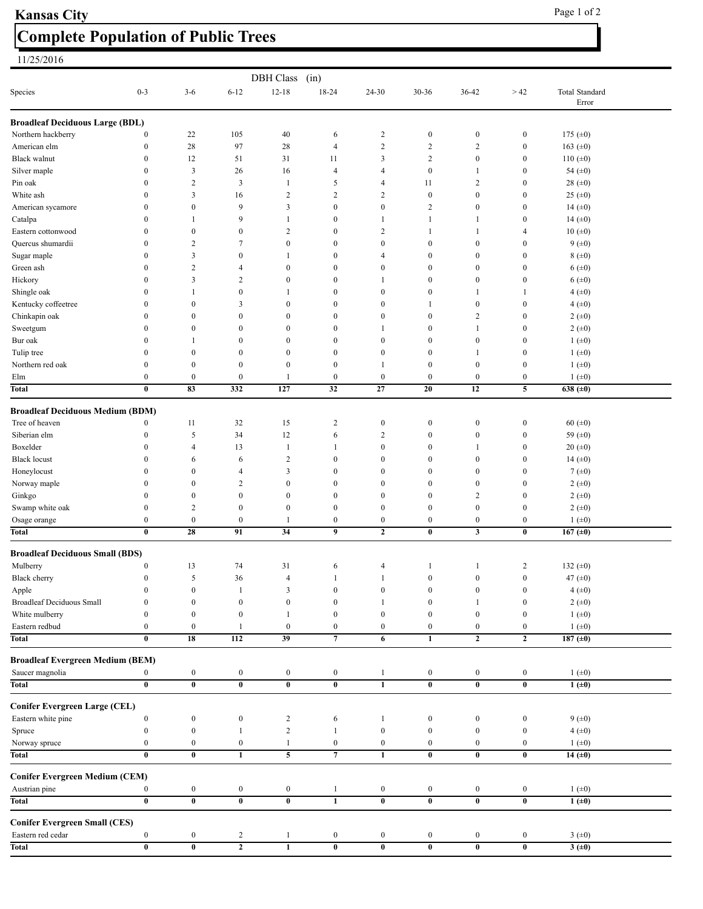## **Complete Population of Public Trees Kansas City** Page 1 of 2

## 11/25/2016

| <b>DBH</b> Class<br>(in)                |                         |                         |                                  |                         |                         |                  |                         |                         |                         |                         |  |
|-----------------------------------------|-------------------------|-------------------------|----------------------------------|-------------------------|-------------------------|------------------|-------------------------|-------------------------|-------------------------|-------------------------|--|
| Species                                 | $0 - 3$                 | $3-6$                   | $6 - 12$                         | $12 - 18$               | 18-24                   | 24-30            | 30-36                   | 36-42                   | >42                     | Total Standard<br>Error |  |
| <b>Broadleaf Deciduous Large (BDL)</b>  |                         |                         |                                  |                         |                         |                  |                         |                         |                         |                         |  |
| Northern hackberry                      | $\boldsymbol{0}$        | $22\,$                  | 105                              | 40                      | 6                       | 2                | $\boldsymbol{0}$        | $\boldsymbol{0}$        | $\boldsymbol{0}$        | 175 $(\pm 0)$           |  |
| American elm                            | $\boldsymbol{0}$        | 28                      | 97                               | 28                      | $\overline{4}$          | $\overline{c}$   | $\overline{c}$          | $\overline{c}$          | $\boldsymbol{0}$        | 163 $(\pm 0)$           |  |
| <b>Black walnut</b>                     | $\boldsymbol{0}$        | 12                      | 51                               | 31                      | 11                      | 3                | $\overline{c}$          | $\boldsymbol{0}$        | $\boldsymbol{0}$        | 110 $(\pm 0)$           |  |
| Silver maple                            | $\boldsymbol{0}$        | $\mathfrak{Z}$          | 26                               | 16                      | $\overline{4}$          | 4                | $\boldsymbol{0}$        | -1                      | $\boldsymbol{0}$        | 54 $(\pm 0)$            |  |
| Pin oak                                 | $\boldsymbol{0}$        | $\sqrt{2}$              | 3                                | $\mathbf{1}$            | 5                       | 4                | 11                      | $\overline{c}$          | $\boldsymbol{0}$        | 28 ( $\pm$ 0)           |  |
| White ash                               | $\boldsymbol{0}$        | $\mathfrak{Z}$          | 16                               | $\overline{c}$          | $\sqrt{2}$              | $\sqrt{2}$       | $\boldsymbol{0}$        | $\boldsymbol{0}$        | $\boldsymbol{0}$        | 25 ( $\pm$ 0)           |  |
| American sycamore                       | $\boldsymbol{0}$        | $\boldsymbol{0}$        | 9                                | 3                       | $\boldsymbol{0}$        | $\boldsymbol{0}$ | $\overline{c}$          | $\boldsymbol{0}$        | $\boldsymbol{0}$        | 14 $(±0)$               |  |
| Catalpa                                 | $\boldsymbol{0}$        | 1                       | 9                                | $\mathbf{1}$            | $\boldsymbol{0}$        | 1                | $\mathbf{1}$            | 1                       | $\boldsymbol{0}$        | 14 $(±0)$               |  |
| Eastern cottonwood                      | $\boldsymbol{0}$        | $\boldsymbol{0}$        | $\boldsymbol{0}$                 | $\overline{c}$          | $\boldsymbol{0}$        | $\sqrt{2}$       | 1                       | $\mathbf{1}$            | 4                       | 10(.0)                  |  |
| Quercus shumardii                       | $\boldsymbol{0}$        | $\overline{c}$          | $\tau$                           | $\boldsymbol{0}$        | $\boldsymbol{0}$        | $\boldsymbol{0}$ | $\boldsymbol{0}$        | $\bf{0}$                | $\boldsymbol{0}$        | $9~(\pm 0)$             |  |
| Sugar maple                             | $\boldsymbol{0}$        | $\mathfrak{Z}$          | $\boldsymbol{0}$                 | $\mathbf{1}$            | $\boldsymbol{0}$        | 4                | $\boldsymbol{0}$        | $\boldsymbol{0}$        | $\boldsymbol{0}$        | $8 (+0)$                |  |
| Green ash                               | $\boldsymbol{0}$        | $\overline{c}$          | 4                                | $\boldsymbol{0}$        | $\boldsymbol{0}$        | $\boldsymbol{0}$ | $\boldsymbol{0}$        | $\bf{0}$                | $\boldsymbol{0}$        | $6~(\pm 0)$             |  |
| Hickory                                 | $\bf{0}$                | 3                       | 2                                | $\boldsymbol{0}$        | $\boldsymbol{0}$        | 1                | $\boldsymbol{0}$        | $\bf{0}$                | $\boldsymbol{0}$        | 6(±0)                   |  |
| Shingle oak                             | $\bf{0}$                | 1                       | $\boldsymbol{0}$                 | 1                       | $\boldsymbol{0}$        | $\boldsymbol{0}$ | $\boldsymbol{0}$        | 1                       | 1                       | $4(\pm 0)$              |  |
| Kentucky coffeetree                     | $\bf{0}$                | $\boldsymbol{0}$        | 3                                | $\boldsymbol{0}$        | $\boldsymbol{0}$        | $\boldsymbol{0}$ | 1                       | $\boldsymbol{0}$        | $\boldsymbol{0}$        | 4 (±0)                  |  |
| Chinkapin oak                           | $\boldsymbol{0}$        | $\boldsymbol{0}$        | $\boldsymbol{0}$                 | $\boldsymbol{0}$        | $\boldsymbol{0}$        | $\boldsymbol{0}$ | $\boldsymbol{0}$        | 2                       | $\boldsymbol{0}$        | 2(.0)                   |  |
| Sweetgum                                | $\mathbf{0}$            | $\boldsymbol{0}$        | $\boldsymbol{0}$                 | $\boldsymbol{0}$        | $\boldsymbol{0}$        | 1                | $\boldsymbol{0}$        | 1                       | $\boldsymbol{0}$        | 2(.0)                   |  |
| Bur oak                                 | $\bf{0}$                | 1                       | $\boldsymbol{0}$                 | $\boldsymbol{0}$        | $\boldsymbol{0}$        | $\boldsymbol{0}$ | $\boldsymbol{0}$        | $\bf{0}$                | $\boldsymbol{0}$        | $1 (+0)$                |  |
| Tulip tree                              | $\boldsymbol{0}$        | $\boldsymbol{0}$        | $\boldsymbol{0}$                 | $\boldsymbol{0}$        | $\boldsymbol{0}$        | $\boldsymbol{0}$ | $\boldsymbol{0}$        | 1                       | $\boldsymbol{0}$        | $1 (+0)$                |  |
| Northern red oak                        | $\boldsymbol{0}$        | $\boldsymbol{0}$        | $\boldsymbol{0}$                 | $\boldsymbol{0}$        | $\boldsymbol{0}$        | 1                | $\boldsymbol{0}$        | $\bf{0}$                | $\boldsymbol{0}$        | $1 (+0)$                |  |
| Elm                                     | $\boldsymbol{0}$        | $\boldsymbol{0}$        | $\boldsymbol{0}$                 | 1                       | $\boldsymbol{0}$        | $\boldsymbol{0}$ | $\boldsymbol{0}$        | $\bf{0}$                | $\boldsymbol{0}$        | $1 (+0)$                |  |
| Total                                   | $\bf{0}$                | 83                      | 332                              | 127                     | 32                      | 27               | 20                      | 12                      | 5                       | 638 ( $\pm 0$ )         |  |
| <b>Broadleaf Deciduous Medium (BDM)</b> |                         |                         |                                  |                         |                         |                  |                         |                         |                         |                         |  |
| Tree of heaven                          | $\boldsymbol{0}$        | 11                      | 32                               | 15                      | $\overline{2}$          | $\boldsymbol{0}$ | $\boldsymbol{0}$        | $\bf{0}$                | $\boldsymbol{0}$        | 60 ( $\pm 0$ )          |  |
| Siberian elm                            | $\boldsymbol{0}$        | 5                       | 34                               | 12                      | 6                       | $\sqrt{2}$       | $\boldsymbol{0}$        | $\boldsymbol{0}$        | $\boldsymbol{0}$        | 59 $(\pm 0)$            |  |
| Boxelder                                | $\boldsymbol{0}$        | 4                       | 13                               | $\mathbf{1}$            | 1                       | $\boldsymbol{0}$ | $\boldsymbol{0}$        | 1                       | $\boldsymbol{0}$        | 20(.0)                  |  |
| <b>Black locust</b>                     | $\mathbf{0}$            | 6                       | 6                                | $\sqrt{2}$              | $\boldsymbol{0}$        | $\boldsymbol{0}$ | $\boldsymbol{0}$        | $\bf{0}$                | $\boldsymbol{0}$        | 14 $(±0)$               |  |
| Honeylocust                             | $\bf{0}$                | $\boldsymbol{0}$        | 4                                | 3                       | $\boldsymbol{0}$        | $\boldsymbol{0}$ | $\boldsymbol{0}$        | $\bf{0}$                | $\boldsymbol{0}$        | 7 $(\pm 0)$             |  |
| Norway maple                            | $\bf{0}$                | $\boldsymbol{0}$        | 2                                | $\boldsymbol{0}$        | $\boldsymbol{0}$        | $\boldsymbol{0}$ | $\boldsymbol{0}$        | $\boldsymbol{0}$        | $\boldsymbol{0}$        | 2(.0)                   |  |
| Ginkgo                                  | $\boldsymbol{0}$        | $\boldsymbol{0}$        | $\boldsymbol{0}$                 | $\boldsymbol{0}$        | $\boldsymbol{0}$        | $\boldsymbol{0}$ | $\boldsymbol{0}$        | 2                       | $\boldsymbol{0}$        | 2 (±0)                  |  |
| Swamp white oak                         | $\boldsymbol{0}$        | 2                       | $\boldsymbol{0}$                 | $\boldsymbol{0}$        | $\boldsymbol{0}$        | $\boldsymbol{0}$ | $\boldsymbol{0}$        | $\boldsymbol{0}$        | $\boldsymbol{0}$        | $2 (+0)$                |  |
| Osage orange                            | $\boldsymbol{0}$        | $\boldsymbol{0}$        | $\boldsymbol{0}$                 | $\mathbf{1}$            | $\boldsymbol{0}$        | $\boldsymbol{0}$ | $\boldsymbol{0}$        | $\boldsymbol{0}$        | $\boldsymbol{0}$        | $1 (+0)$                |  |
| Total                                   | $\bf{0}$                | 28                      | 91                               | 34                      | 9                       | $\mathbf{2}$     | $\bf{0}$                | 3                       | $\bf{0}$                | 167 ( $\pm 0$ )         |  |
| <b>Broadleaf Deciduous Small (BDS)</b>  |                         |                         |                                  |                         |                         |                  |                         |                         |                         |                         |  |
| Mulberry                                | $\boldsymbol{0}$        | 13                      | 74                               | 31                      | 6                       | 4                | 1                       | $\mathbf{1}$            | $\overline{2}$          | 132 $(\pm 0)$           |  |
| Black cherry                            | $\boldsymbol{0}$        | 5                       | 36                               | 4                       | $\mathbf{1}$            | $\mathbf{1}$     | $\boldsymbol{0}$        | $\boldsymbol{0}$        | $\boldsymbol{0}$        | 47 $(±0)$               |  |
| Apple                                   | $\bf{0}$                | $\boldsymbol{0}$        | 1                                | 3                       | $\boldsymbol{0}$        | $\boldsymbol{0}$ | $\bf{0}$                | $\bf{0}$                | $\bf{0}$                | $4(+0)$                 |  |
| <b>Broadleaf Deciduous Small</b>        | $\boldsymbol{0}$        | $\boldsymbol{0}$        | $\boldsymbol{0}$                 | $\boldsymbol{0}$        | $\boldsymbol{0}$        | 1                | $\boldsymbol{0}$        | -1                      | $\boldsymbol{0}$        | $2(+0)$                 |  |
| White mulberry                          | $\boldsymbol{0}$        | $\boldsymbol{0}$        | $\boldsymbol{0}$                 | $\mathbf{1}$            | $\boldsymbol{0}$        | $\boldsymbol{0}$ | $\boldsymbol{0}$        | $\bf{0}$                | $\boldsymbol{0}$        | $1 (+0)$                |  |
| Eastern redbud                          | $\bf{0}$                | $\boldsymbol{0}$        | 1                                | $\boldsymbol{0}$        | $\boldsymbol{0}$        | $\boldsymbol{0}$ | $\bf{0}$                | $\bf{0}$                | $\boldsymbol{0}$        | $1 (+0)$                |  |
| <b>Total</b>                            | $\overline{\mathbf{0}}$ | 18                      | 112                              | $\overline{39}$         | $\overline{7}$          | 6                | $\overline{1}$          | $\overline{2}$          | $\overline{2}$          | 187 $(\pm 0)$           |  |
| <b>Broadleaf Evergreen Medium (BEM)</b> |                         |                         |                                  |                         |                         |                  |                         |                         |                         |                         |  |
| Saucer magnolia                         | $\boldsymbol{0}$        | $\boldsymbol{0}$        | $\bf{0}$                         | $\boldsymbol{0}$        | $\boldsymbol{0}$        | $\mathbf{1}$     | $\bf{0}$                | $\bf{0}$                | $\bf{0}$                | $1 (+0)$                |  |
| Total                                   | $\overline{0}$          | $\overline{\mathbf{0}}$ | $\overline{\mathbf{0}}$          | $\overline{\mathbf{0}}$ | $\overline{\mathbf{0}}$ | $\overline{1}$   | $\overline{\mathbf{0}}$ | $\overline{\mathbf{0}}$ | $\overline{\mathbf{0}}$ | $1 (+0)$                |  |
| <b>Conifer Evergreen Large (CEL)</b>    |                         |                         |                                  |                         |                         |                  |                         |                         |                         |                         |  |
| Eastern white pine                      | $\boldsymbol{0}$        | $\boldsymbol{0}$        | $\boldsymbol{0}$                 | $\overline{2}$          | 6                       | $\mathbf{1}$     | $\boldsymbol{0}$        | $\boldsymbol{0}$        | $\boldsymbol{0}$        | 9(.10)                  |  |
| Spruce                                  | $\boldsymbol{0}$        | $\boldsymbol{0}$        | $\mathbf{1}$                     | $\sqrt{2}$              | $\mathbf{1}$            | $\boldsymbol{0}$ | $\boldsymbol{0}$        | $\boldsymbol{0}$        | $\boldsymbol{0}$        | 4 (±0)                  |  |
| Norway spruce                           | $\boldsymbol{0}$        | $\boldsymbol{0}$        | $\boldsymbol{0}$                 | $\mathbf{1}$            | $\boldsymbol{0}$        | $\boldsymbol{0}$ | $\boldsymbol{0}$        | $\boldsymbol{0}$        | $\boldsymbol{0}$        | $1 (+0)$                |  |
| Total                                   | $\bf{0}$                | $\pmb{0}$               | $\mathbf{1}$                     | 5                       | $\overline{7}$          | $\mathbf{1}$     | $\bf{0}$                | $\bf{0}$                | $\bf{0}$                | 14 ( $\pm 0$ )          |  |
| <b>Conifer Evergreen Medium (CEM)</b>   |                         |                         |                                  |                         |                         |                  |                         |                         |                         |                         |  |
| Austrian pine                           | $\bf{0}$                | $\boldsymbol{0}$        | $\boldsymbol{0}$                 | $\boldsymbol{0}$        | $\mathbf{1}$            | $\boldsymbol{0}$ | $\boldsymbol{0}$        | $\boldsymbol{0}$        | $\boldsymbol{0}$        | $1 (+0)$                |  |
| Total                                   | $\bf{0}$                | $\pmb{0}$               | $\bf{0}$                         | $\bf{0}$                | $\mathbf{1}$            | $\pmb{0}$        | $\boldsymbol{0}$        | $\bf{0}$                | $\bf{0}$                | $1 (+0)$                |  |
|                                         |                         |                         |                                  |                         |                         |                  |                         |                         |                         |                         |  |
| <b>Conifer Evergreen Small (CES)</b>    |                         |                         |                                  |                         |                         |                  |                         |                         |                         |                         |  |
| Eastern red cedar                       | $\bf{0}$                | $\boldsymbol{0}$        | $\overline{c}$<br>$\overline{2}$ | $\mathbf{1}$            | $\boldsymbol{0}$        | $\boldsymbol{0}$ | $\bf{0}$                | $\bf{0}$                | $\boldsymbol{0}$        | 3 $(\pm 0)$             |  |
| Total                                   | $\bf{0}$                | $\pmb{0}$               |                                  | $\bf{1}$                | $\pmb{0}$               | $\pmb{0}$        | $\pmb{0}$               | $\bf{0}$                | $\pmb{0}$               | 3(±0)                   |  |